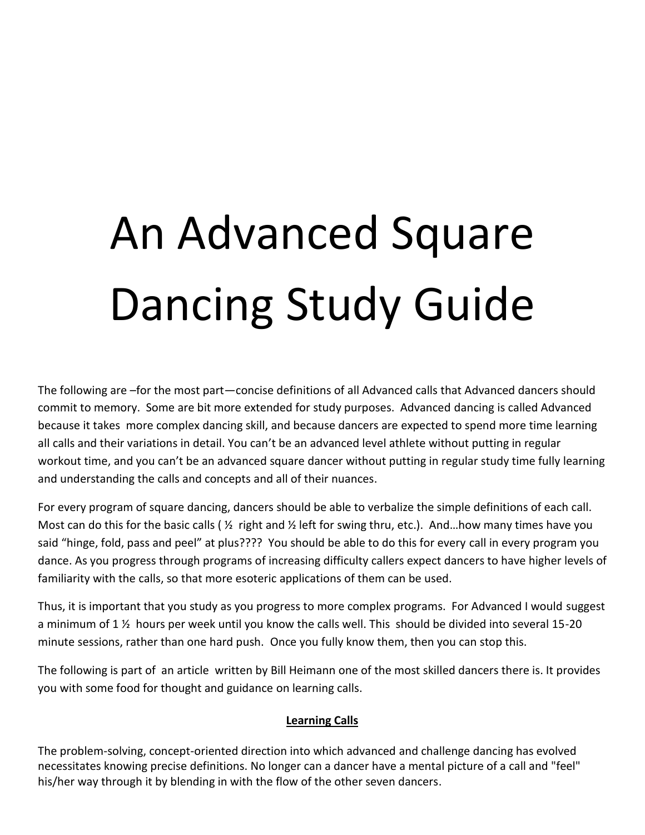## An Advanced Square Dancing Study Guide

The following are –for the most part—concise definitions of all Advanced calls that Advanced dancers should commit to memory. Some are bit more extended for study purposes. Advanced dancing is called Advanced because it takes more complex dancing skill, and because dancers are expected to spend more time learning all calls and their variations in detail. You can't be an advanced level athlete without putting in regular workout time, and you can't be an advanced square dancer without putting in regular study time fully learning and understanding the calls and concepts and all of their nuances.

For every program of square dancing, dancers should be able to verbalize the simple definitions of each call. Most can do this for the basic calls ( $\frac{1}{2}$  right and  $\frac{1}{2}$  left for swing thru, etc.). And... how many times have you said "hinge, fold, pass and peel" at plus???? You should be able to do this for every call in every program you dance. As you progress through programs of increasing difficulty callers expect dancers to have higher levels of familiarity with the calls, so that more esoteric applications of them can be used.

Thus, it is important that you study as you progress to more complex programs. For Advanced I would suggest a minimum of 1 ½ hours per week until you know the calls well. This should be divided into several 15-20 minute sessions, rather than one hard push. Once you fully know them, then you can stop this.

The following is part of an article written by Bill Heimann one of the most skilled dancers there is. It provides you with some food for thought and guidance on learning calls.

## **Learning Calls**

The problem-solving, concept-oriented direction into which advanced and challenge dancing has evolved necessitates knowing precise definitions. No longer can a dancer have a mental picture of a call and "feel" his/her way through it by blending in with the flow of the other seven dancers.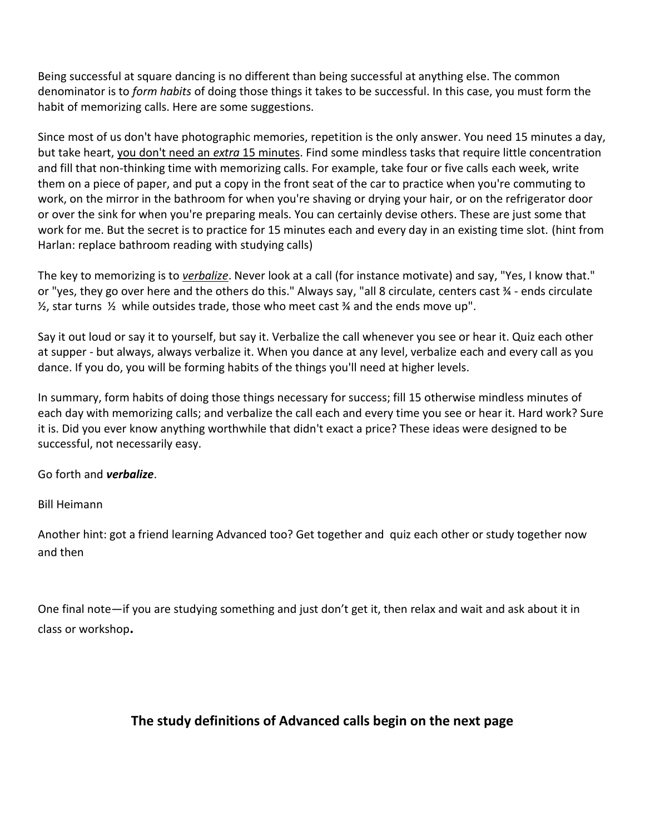Being successful at square dancing is no different than being successful at anything else. The common denominator is to *form habits* of doing those things it takes to be successful. In this case, you must form the habit of memorizing calls. Here are some suggestions.

Since most of us don't have photographic memories, repetition is the only answer. You need 15 minutes a day, but take heart, you don't need an *extra* 15 minutes. Find some mindless tasks that require little concentration and fill that non-thinking time with memorizing calls. For example, take four or five calls each week, write them on a piece of paper, and put a copy in the front seat of the car to practice when you're commuting to work, on the mirror in the bathroom for when you're shaving or drying your hair, or on the refrigerator door or over the sink for when you're preparing meals. You can certainly devise others. These are just some that work for me. But the secret is to practice for 15 minutes each and every day in an existing time slot. (hint from Harlan: replace bathroom reading with studying calls)

The key to memorizing is to *verbalize*. Never look at a call (for instance motivate) and say, "Yes, I know that." or "yes, they go over here and the others do this." Always say, "all 8 circulate, centers cast ¾ - ends circulate  $\frac{1}{2}$ , star turns  $\frac{1}{2}$  while outsides trade, those who meet cast  $\frac{1}{2}$  and the ends move up".

Say it out loud or say it to yourself, but say it. Verbalize the call whenever you see or hear it. Quiz each other at supper - but always, always verbalize it. When you dance at any level, verbalize each and every call as you dance. If you do, you will be forming habits of the things you'll need at higher levels.

In summary, form habits of doing those things necessary for success; fill 15 otherwise mindless minutes of each day with memorizing calls; and verbalize the call each and every time you see or hear it. Hard work? Sure it is. Did you ever know anything worthwhile that didn't exact a price? These ideas were designed to be successful, not necessarily easy.

Go forth and *verbalize*.

Bill Heimann

Another hint: got a friend learning Advanced too? Get together and quiz each other or study together now and then

One final note—if you are studying something and just don't get it, then relax and wait and ask about it in class or workshop**.**

## **The study definitions of Advanced calls begin on the next page**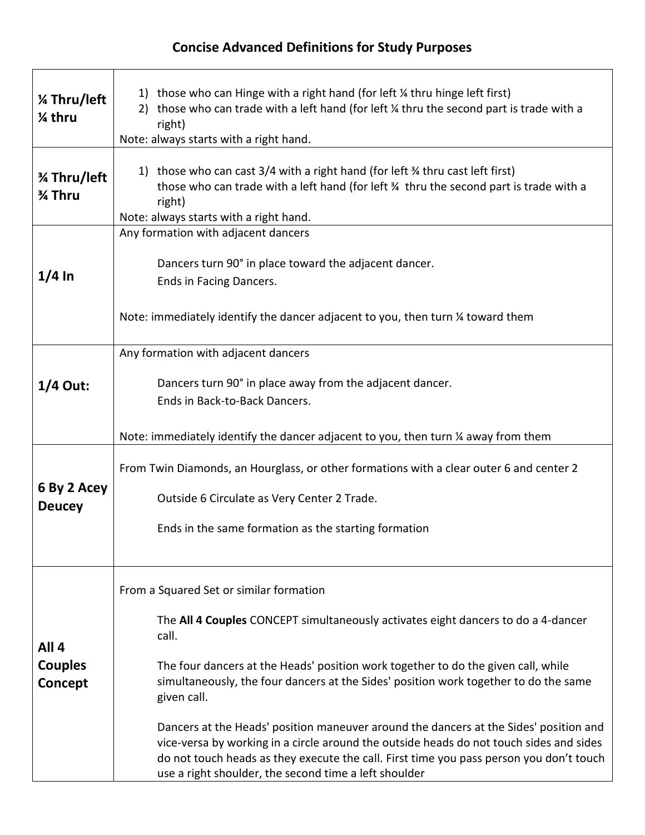## **Concise Advanced Definitions for Study Purposes**

| % Thru/left<br>% thru                         | 1) those who can Hinge with a right hand (for left $\frac{1}{4}$ thru hinge left first)<br>2) those who can trade with a left hand (for left $\frac{1}{4}$ thru the second part is trade with a<br>right)<br>Note: always starts with a right hand.                                                                                                                                                                                                                                                                                                                                                                                                                       |
|-----------------------------------------------|---------------------------------------------------------------------------------------------------------------------------------------------------------------------------------------------------------------------------------------------------------------------------------------------------------------------------------------------------------------------------------------------------------------------------------------------------------------------------------------------------------------------------------------------------------------------------------------------------------------------------------------------------------------------------|
| % Thru/left<br>3⁄4 Thru                       | 1) those who can cast $3/4$ with a right hand (for left $\frac{3}{4}$ thru cast left first)<br>those who can trade with a left hand (for left 34 thru the second part is trade with a<br>right)<br>Note: always starts with a right hand.                                                                                                                                                                                                                                                                                                                                                                                                                                 |
| $1/4$ In                                      | Any formation with adjacent dancers<br>Dancers turn 90° in place toward the adjacent dancer.<br>Ends in Facing Dancers.<br>Note: immediately identify the dancer adjacent to you, then turn % toward them                                                                                                                                                                                                                                                                                                                                                                                                                                                                 |
| $1/4$ Out:                                    | Any formation with adjacent dancers<br>Dancers turn 90° in place away from the adjacent dancer.<br>Ends in Back-to-Back Dancers.<br>Note: immediately identify the dancer adjacent to you, then turn 1/4 away from them                                                                                                                                                                                                                                                                                                                                                                                                                                                   |
| 6 By 2 Acey<br><b>Deucey</b>                  | From Twin Diamonds, an Hourglass, or other formations with a clear outer 6 and center 2<br>Outside 6 Circulate as Very Center 2 Trade.<br>Ends in the same formation as the starting formation                                                                                                                                                                                                                                                                                                                                                                                                                                                                            |
| All <sub>4</sub><br><b>Couples</b><br>Concept | From a Squared Set or similar formation<br>The All 4 Couples CONCEPT simultaneously activates eight dancers to do a 4-dancer<br>call.<br>The four dancers at the Heads' position work together to do the given call, while<br>simultaneously, the four dancers at the Sides' position work together to do the same<br>given call.<br>Dancers at the Heads' position maneuver around the dancers at the Sides' position and<br>vice-versa by working in a circle around the outside heads do not touch sides and sides<br>do not touch heads as they execute the call. First time you pass person you don't touch<br>use a right shoulder, the second time a left shoulder |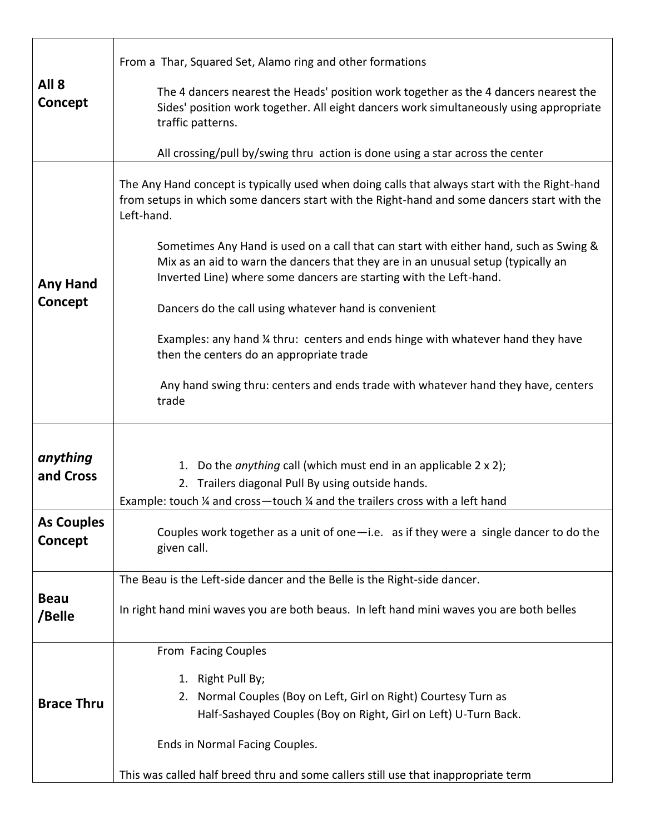| All <sub>8</sub><br>Concept  | From a Thar, Squared Set, Alamo ring and other formations                                                                                                                                                                                                                            |
|------------------------------|--------------------------------------------------------------------------------------------------------------------------------------------------------------------------------------------------------------------------------------------------------------------------------------|
|                              | The 4 dancers nearest the Heads' position work together as the 4 dancers nearest the<br>Sides' position work together. All eight dancers work simultaneously using appropriate<br>traffic patterns.<br>All crossing/pull by/swing thru action is done using a star across the center |
|                              |                                                                                                                                                                                                                                                                                      |
| <b>Any Hand</b>              | The Any Hand concept is typically used when doing calls that always start with the Right-hand<br>from setups in which some dancers start with the Right-hand and some dancers start with the<br>Left-hand.                                                                           |
|                              | Sometimes Any Hand is used on a call that can start with either hand, such as Swing &<br>Mix as an aid to warn the dancers that they are in an unusual setup (typically an<br>Inverted Line) where some dancers are starting with the Left-hand.                                     |
| Concept                      | Dancers do the call using whatever hand is convenient                                                                                                                                                                                                                                |
|                              | Examples: any hand 1/4 thru: centers and ends hinge with whatever hand they have<br>then the centers do an appropriate trade                                                                                                                                                         |
|                              | Any hand swing thru: centers and ends trade with whatever hand they have, centers<br>trade                                                                                                                                                                                           |
|                              |                                                                                                                                                                                                                                                                                      |
| anything<br>and Cross        | 1. Do the anything call (which must end in an applicable 2 x 2);<br>2. Trailers diagonal Pull By using outside hands.<br>Example: touch ¼ and cross-touch ¼ and the trailers cross with a left hand                                                                                  |
| <b>As Couples</b><br>Concept | Couples work together as a unit of one-i.e. as if they were a single dancer to do the<br>given call.                                                                                                                                                                                 |
|                              | The Beau is the Left-side dancer and the Belle is the Right-side dancer.                                                                                                                                                                                                             |
| <b>Beau</b><br>/Belle        | In right hand mini waves you are both beaus. In left hand mini waves you are both belles                                                                                                                                                                                             |
|                              | From Facing Couples                                                                                                                                                                                                                                                                  |
| <b>Brace Thru</b>            | 1. Right Pull By;<br>2. Normal Couples (Boy on Left, Girl on Right) Courtesy Turn as<br>Half-Sashayed Couples (Boy on Right, Girl on Left) U-Turn Back.                                                                                                                              |
|                              | Ends in Normal Facing Couples.                                                                                                                                                                                                                                                       |
|                              | This was called half breed thru and some callers still use that inappropriate term                                                                                                                                                                                                   |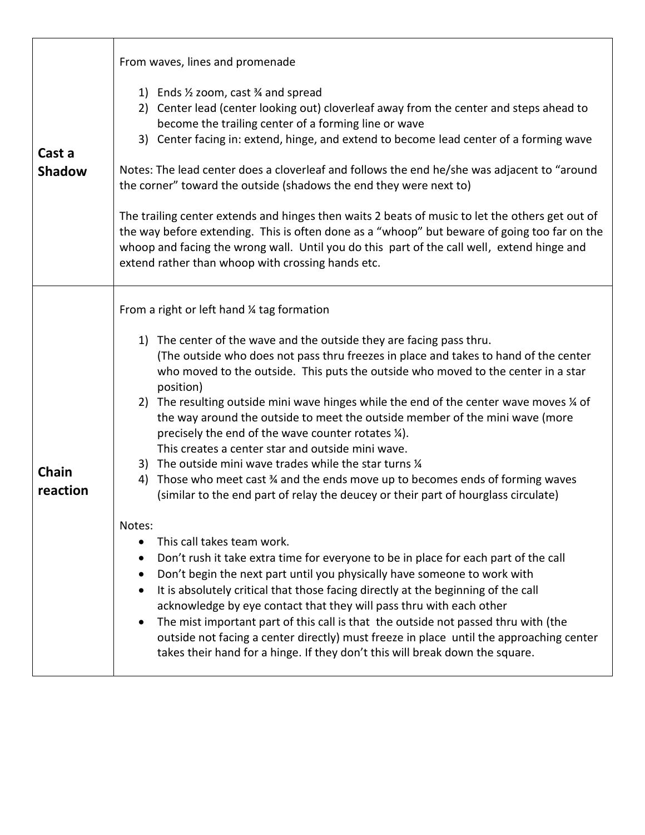| Cast a<br><b>Shadow</b> | From waves, lines and promenade<br>1) Ends 1/2 zoom, cast 3/4 and spread<br>2) Center lead (center looking out) cloverleaf away from the center and steps ahead to<br>become the trailing center of a forming line or wave<br>3) Center facing in: extend, hinge, and extend to become lead center of a forming wave<br>Notes: The lead center does a cloverleaf and follows the end he/she was adjacent to "around<br>the corner" toward the outside (shadows the end they were next to)<br>The trailing center extends and hinges then waits 2 beats of music to let the others get out of<br>the way before extending. This is often done as a "whoop" but beware of going too far on the<br>whoop and facing the wrong wall. Until you do this part of the call well, extend hinge and<br>extend rather than whoop with crossing hands etc.                                                                                                                                                                                                                                                                                                                                                                                                                                                                                                                                                                                                                                                          |
|-------------------------|----------------------------------------------------------------------------------------------------------------------------------------------------------------------------------------------------------------------------------------------------------------------------------------------------------------------------------------------------------------------------------------------------------------------------------------------------------------------------------------------------------------------------------------------------------------------------------------------------------------------------------------------------------------------------------------------------------------------------------------------------------------------------------------------------------------------------------------------------------------------------------------------------------------------------------------------------------------------------------------------------------------------------------------------------------------------------------------------------------------------------------------------------------------------------------------------------------------------------------------------------------------------------------------------------------------------------------------------------------------------------------------------------------------------------------------------------------------------------------------------------------|
| Chain<br>reaction       | From a right or left hand 1/4 tag formation<br>1) The center of the wave and the outside they are facing pass thru.<br>(The outside who does not pass thru freezes in place and takes to hand of the center<br>who moved to the outside. This puts the outside who moved to the center in a star<br>position)<br>2) The resulting outside mini wave hinges while the end of the center wave moves % of<br>the way around the outside to meet the outside member of the mini wave (more<br>precisely the end of the wave counter rotates 1/4).<br>This creates a center star and outside mini wave.<br>3) The outside mini wave trades while the star turns 1/4<br>4) Those who meet cast % and the ends move up to becomes ends of forming waves<br>(similar to the end part of relay the deucey or their part of hourglass circulate)<br>Notes:<br>This call takes team work.<br>Don't rush it take extra time for everyone to be in place for each part of the call<br>Don't begin the next part until you physically have someone to work with<br>$\bullet$<br>It is absolutely critical that those facing directly at the beginning of the call<br>$\bullet$<br>acknowledge by eye contact that they will pass thru with each other<br>The mist important part of this call is that the outside not passed thru with (the<br>outside not facing a center directly) must freeze in place until the approaching center<br>takes their hand for a hinge. If they don't this will break down the square. |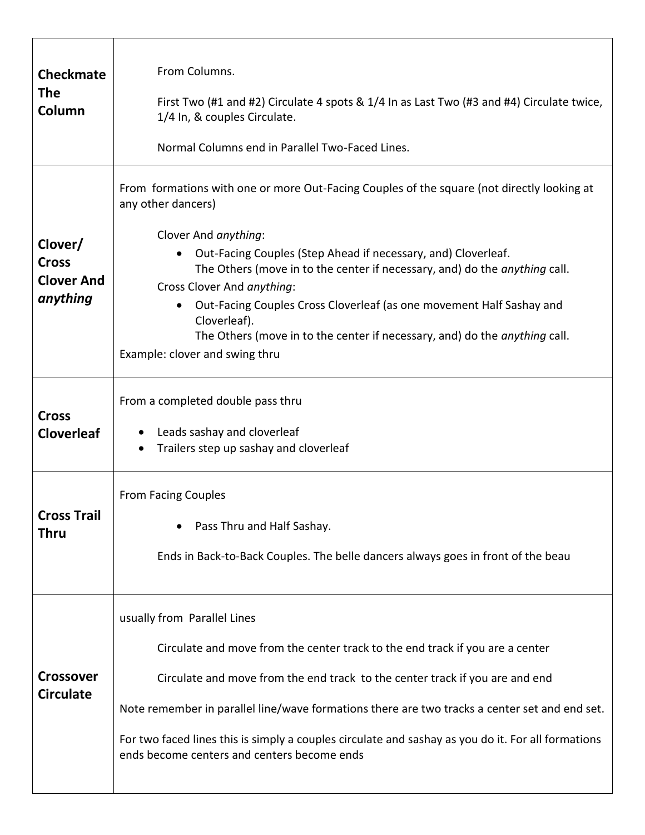| <b>Checkmate</b><br>The<br>Column                        | From Columns.<br>First Two (#1 and #2) Circulate 4 spots & 1/4 In as Last Two (#3 and #4) Circulate twice,<br>1/4 In, & couples Circulate.<br>Normal Columns end in Parallel Two-Faced Lines.                                                                                                                                                                                                                                                                                                                                        |
|----------------------------------------------------------|--------------------------------------------------------------------------------------------------------------------------------------------------------------------------------------------------------------------------------------------------------------------------------------------------------------------------------------------------------------------------------------------------------------------------------------------------------------------------------------------------------------------------------------|
| Clover/<br><b>Cross</b><br><b>Clover And</b><br>anything | From formations with one or more Out-Facing Couples of the square (not directly looking at<br>any other dancers)<br>Clover And anything:<br>Out-Facing Couples (Step Ahead if necessary, and) Cloverleaf.<br>The Others (move in to the center if necessary, and) do the <i>anything</i> call.<br>Cross Clover And anything:<br>Out-Facing Couples Cross Cloverleaf (as one movement Half Sashay and<br>Cloverleaf).<br>The Others (move in to the center if necessary, and) do the anything call.<br>Example: clover and swing thru |
| <b>Cross</b><br><b>Cloverleaf</b>                        | From a completed double pass thru<br>Leads sashay and cloverleaf<br>Trailers step up sashay and cloverleaf                                                                                                                                                                                                                                                                                                                                                                                                                           |
| <b>Cross Trail</b><br>Thru                               | <b>From Facing Couples</b><br>Pass Thru and Half Sashay.<br>Ends in Back-to-Back Couples. The belle dancers always goes in front of the beau                                                                                                                                                                                                                                                                                                                                                                                         |
| <b>Crossover</b><br><b>Circulate</b>                     | usually from Parallel Lines<br>Circulate and move from the center track to the end track if you are a center<br>Circulate and move from the end track to the center track if you are and end<br>Note remember in parallel line/wave formations there are two tracks a center set and end set.<br>For two faced lines this is simply a couples circulate and sashay as you do it. For all formations<br>ends become centers and centers become ends                                                                                   |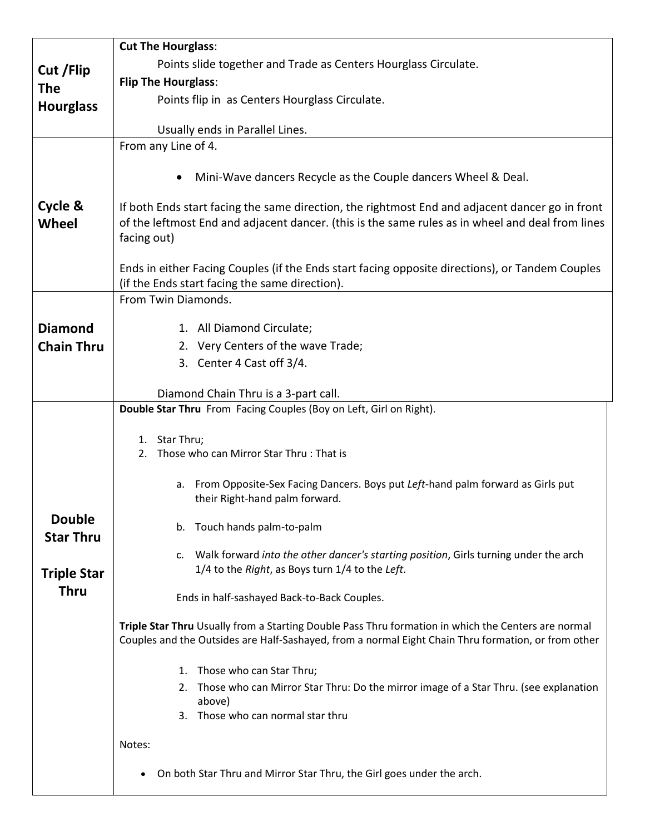|                                   | <b>Cut The Hourglass:</b>                                                                                                                                                                                          |
|-----------------------------------|--------------------------------------------------------------------------------------------------------------------------------------------------------------------------------------------------------------------|
| Cut / Flip                        | Points slide together and Trade as Centers Hourglass Circulate.                                                                                                                                                    |
| <b>The</b>                        | <b>Flip The Hourglass:</b>                                                                                                                                                                                         |
| <b>Hourglass</b>                  | Points flip in as Centers Hourglass Circulate.                                                                                                                                                                     |
|                                   | Usually ends in Parallel Lines.                                                                                                                                                                                    |
|                                   | From any Line of 4.                                                                                                                                                                                                |
|                                   | Mini-Wave dancers Recycle as the Couple dancers Wheel & Deal.                                                                                                                                                      |
| Cycle &<br>Wheel                  | If both Ends start facing the same direction, the rightmost End and adjacent dancer go in front<br>of the leftmost End and adjacent dancer. (this is the same rules as in wheel and deal from lines<br>facing out) |
|                                   | Ends in either Facing Couples (if the Ends start facing opposite directions), or Tandem Couples<br>(if the Ends start facing the same direction).                                                                  |
|                                   | From Twin Diamonds.                                                                                                                                                                                                |
| <b>Diamond</b>                    | 1. All Diamond Circulate;                                                                                                                                                                                          |
| <b>Chain Thru</b>                 | 2. Very Centers of the wave Trade;                                                                                                                                                                                 |
|                                   | 3. Center 4 Cast off 3/4.                                                                                                                                                                                          |
|                                   |                                                                                                                                                                                                                    |
|                                   | Diamond Chain Thru is a 3-part call.<br>Double Star Thru From Facing Couples (Boy on Left, Girl on Right).                                                                                                         |
|                                   |                                                                                                                                                                                                                    |
|                                   | 1. Star Thru;<br>Those who can Mirror Star Thru: That is<br>2.                                                                                                                                                     |
|                                   |                                                                                                                                                                                                                    |
|                                   | a. From Opposite-Sex Facing Dancers. Boys put Left-hand palm forward as Girls put<br>their Right-hand palm forward.                                                                                                |
| <b>Double</b><br><b>Star Thru</b> | b. Touch hands palm-to-palm                                                                                                                                                                                        |
|                                   | Walk forward into the other dancer's starting position, Girls turning under the arch<br>c.                                                                                                                         |
| <b>Triple Star</b>                | 1/4 to the Right, as Boys turn 1/4 to the Left.                                                                                                                                                                    |
| <b>Thru</b>                       | Ends in half-sashayed Back-to-Back Couples.                                                                                                                                                                        |
|                                   | Triple Star Thru Usually from a Starting Double Pass Thru formation in which the Centers are normal<br>Couples and the Outsides are Half-Sashayed, from a normal Eight Chain Thru formation, or from other         |
|                                   | 1. Those who can Star Thru;                                                                                                                                                                                        |
|                                   | 2. Those who can Mirror Star Thru: Do the mirror image of a Star Thru. (see explanation                                                                                                                            |
|                                   | above)<br>3. Those who can normal star thru                                                                                                                                                                        |
|                                   |                                                                                                                                                                                                                    |
|                                   | Notes:                                                                                                                                                                                                             |
|                                   | On both Star Thru and Mirror Star Thru, the Girl goes under the arch.<br>$\bullet$                                                                                                                                 |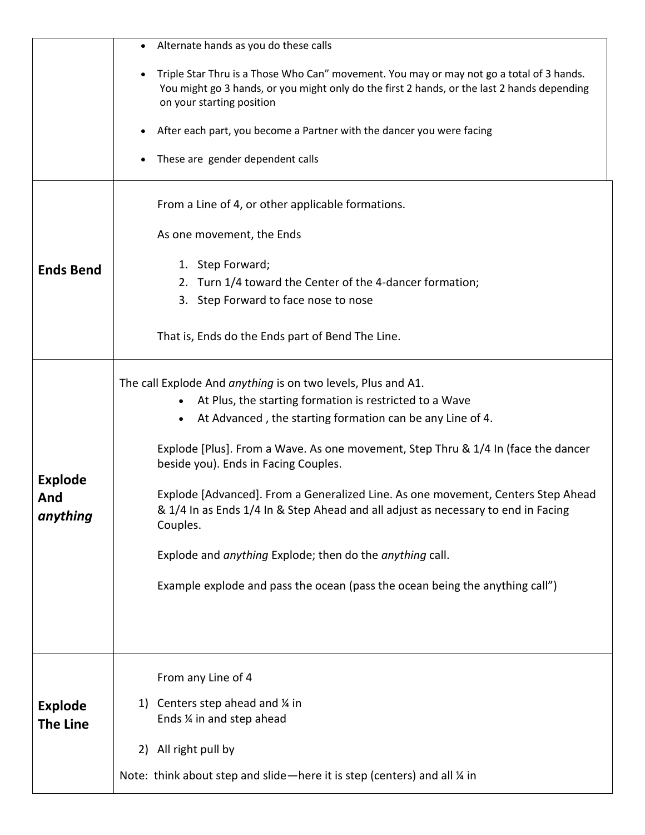|                                   | Alternate hands as you do these calls                                                                                                                                                                                                                                                                                                                                                                                                                                                                                                                                                                                                                                        |
|-----------------------------------|------------------------------------------------------------------------------------------------------------------------------------------------------------------------------------------------------------------------------------------------------------------------------------------------------------------------------------------------------------------------------------------------------------------------------------------------------------------------------------------------------------------------------------------------------------------------------------------------------------------------------------------------------------------------------|
|                                   | Triple Star Thru is a Those Who Can" movement. You may or may not go a total of 3 hands.<br>You might go 3 hands, or you might only do the first 2 hands, or the last 2 hands depending<br>on your starting position                                                                                                                                                                                                                                                                                                                                                                                                                                                         |
|                                   | After each part, you become a Partner with the dancer you were facing                                                                                                                                                                                                                                                                                                                                                                                                                                                                                                                                                                                                        |
|                                   | These are gender dependent calls                                                                                                                                                                                                                                                                                                                                                                                                                                                                                                                                                                                                                                             |
|                                   | From a Line of 4, or other applicable formations.                                                                                                                                                                                                                                                                                                                                                                                                                                                                                                                                                                                                                            |
|                                   | As one movement, the Ends                                                                                                                                                                                                                                                                                                                                                                                                                                                                                                                                                                                                                                                    |
| <b>Ends Bend</b>                  | 1. Step Forward;                                                                                                                                                                                                                                                                                                                                                                                                                                                                                                                                                                                                                                                             |
|                                   | 2. Turn 1/4 toward the Center of the 4-dancer formation;                                                                                                                                                                                                                                                                                                                                                                                                                                                                                                                                                                                                                     |
|                                   | 3. Step Forward to face nose to nose                                                                                                                                                                                                                                                                                                                                                                                                                                                                                                                                                                                                                                         |
|                                   | That is, Ends do the Ends part of Bend The Line.                                                                                                                                                                                                                                                                                                                                                                                                                                                                                                                                                                                                                             |
| <b>Explode</b><br>And<br>anything | The call Explode And anything is on two levels, Plus and A1.<br>At Plus, the starting formation is restricted to a Wave<br>$\bullet$<br>At Advanced, the starting formation can be any Line of 4.<br>$\bullet$<br>Explode [Plus]. From a Wave. As one movement, Step Thru & 1/4 In (face the dancer<br>beside you). Ends in Facing Couples.<br>Explode [Advanced]. From a Generalized Line. As one movement, Centers Step Ahead<br>& 1/4 In as Ends 1/4 In & Step Ahead and all adjust as necessary to end in Facing<br>Couples.<br>Explode and anything Explode; then do the anything call.<br>Example explode and pass the ocean (pass the ocean being the anything call") |
| <b>Explode</b><br><b>The Line</b> | From any Line of 4<br>Centers step ahead and $\frac{1}{4}$ in<br>1)<br>Ends % in and step ahead<br>All right pull by<br>2)<br>Note: think about step and slide-here it is step (centers) and all % in                                                                                                                                                                                                                                                                                                                                                                                                                                                                        |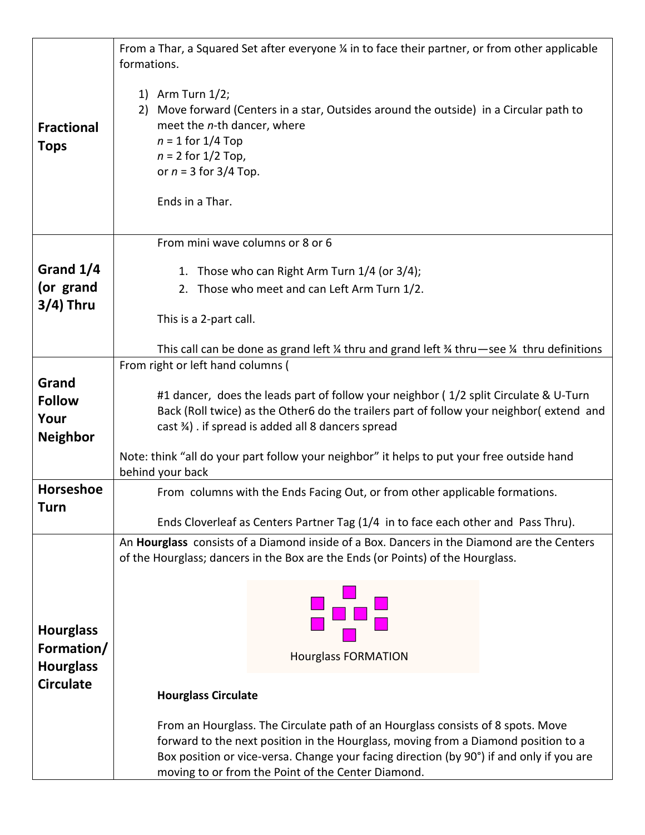|                                                    | From a Thar, a Squared Set after everyone ¼ in to face their partner, or from other applicable<br>formations.                                                                                                                                                                                                           |
|----------------------------------------------------|-------------------------------------------------------------------------------------------------------------------------------------------------------------------------------------------------------------------------------------------------------------------------------------------------------------------------|
| <b>Fractional</b><br><b>Tops</b>                   | 1) Arm Turn $1/2$ ;<br>2) Move forward (Centers in a star, Outsides around the outside) in a Circular path to<br>meet the n-th dancer, where<br>$n = 1$ for 1/4 Top<br>$n = 2$ for $1/2$ Top,<br>or $n = 3$ for 3/4 Top.<br>Ends in a Thar.                                                                             |
|                                                    | From mini wave columns or 8 or 6                                                                                                                                                                                                                                                                                        |
| Grand 1/4                                          | 1. Those who can Right Arm Turn 1/4 (or 3/4);                                                                                                                                                                                                                                                                           |
| (or grand                                          | 2. Those who meet and can Left Arm Turn 1/2.                                                                                                                                                                                                                                                                            |
| $3/4$ ) Thru                                       | This is a 2-part call.                                                                                                                                                                                                                                                                                                  |
|                                                    | This call can be done as grand left $\frac{1}{4}$ thru and grand left $\frac{3}{4}$ thru -see $\frac{1}{4}$ thru definitions                                                                                                                                                                                            |
|                                                    | From right or left hand columns (                                                                                                                                                                                                                                                                                       |
| Grand<br><b>Follow</b><br>Your<br><b>Neighbor</b>  | #1 dancer, does the leads part of follow your neighbor (1/2 split Circulate & U-Turn<br>Back (Roll twice) as the Other6 do the trailers part of follow your neighbor(extend and<br>cast 34). if spread is added all 8 dancers spread                                                                                    |
|                                                    | Note: think "all do your part follow your neighbor" it helps to put your free outside hand<br>behind your back                                                                                                                                                                                                          |
| <b>Horseshoe</b>                                   | From columns with the Ends Facing Out, or from other applicable formations.                                                                                                                                                                                                                                             |
| Turn                                               | Ends Cloverleaf as Centers Partner Tag (1/4 in to face each other and Pass Thru).                                                                                                                                                                                                                                       |
|                                                    | An Hourglass consists of a Diamond inside of a Box. Dancers in the Diamond are the Centers                                                                                                                                                                                                                              |
|                                                    | of the Hourglass; dancers in the Box are the Ends (or Points) of the Hourglass.                                                                                                                                                                                                                                         |
| <b>Hourglass</b><br>Formation/<br><b>Hourglass</b> | <b>Hourglass FORMATION</b>                                                                                                                                                                                                                                                                                              |
| <b>Circulate</b>                                   | <b>Hourglass Circulate</b>                                                                                                                                                                                                                                                                                              |
|                                                    |                                                                                                                                                                                                                                                                                                                         |
|                                                    | From an Hourglass. The Circulate path of an Hourglass consists of 8 spots. Move<br>forward to the next position in the Hourglass, moving from a Diamond position to a<br>Box position or vice-versa. Change your facing direction (by 90°) if and only if you are<br>moving to or from the Point of the Center Diamond. |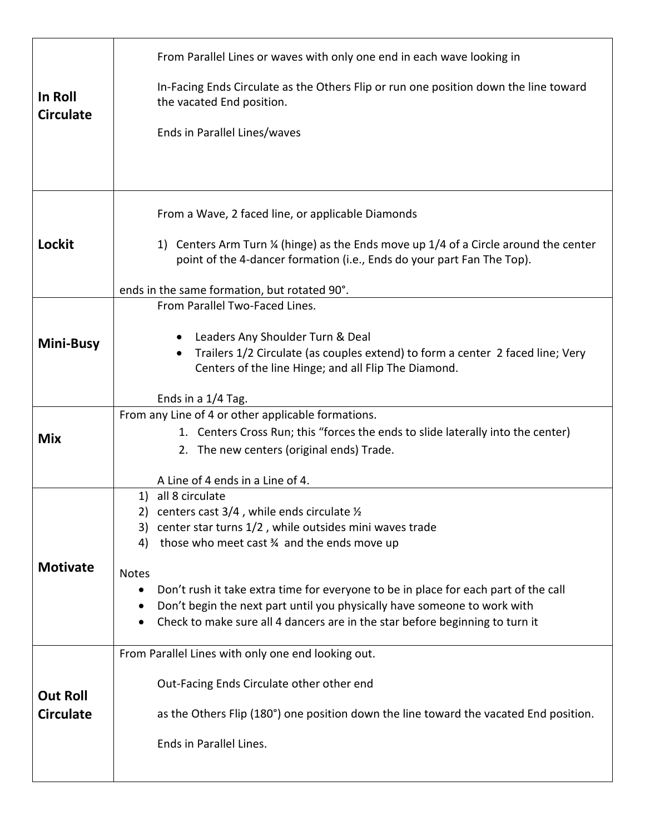| In Roll<br><b>Circulate</b>         | From Parallel Lines or waves with only one end in each wave looking in<br>In-Facing Ends Circulate as the Others Flip or run one position down the line toward<br>the vacated End position.<br>Ends in Parallel Lines/waves                                                                                                                                                                                                                                                                                            |
|-------------------------------------|------------------------------------------------------------------------------------------------------------------------------------------------------------------------------------------------------------------------------------------------------------------------------------------------------------------------------------------------------------------------------------------------------------------------------------------------------------------------------------------------------------------------|
| Lockit                              | From a Wave, 2 faced line, or applicable Diamonds<br>1) Centers Arm Turn ¼ (hinge) as the Ends move up 1/4 of a Circle around the center<br>point of the 4-dancer formation (i.e., Ends do your part Fan The Top).<br>ends in the same formation, but rotated 90°.                                                                                                                                                                                                                                                     |
| Mini-Busy                           | From Parallel Two-Faced Lines.<br>Leaders Any Shoulder Turn & Deal<br>Trailers 1/2 Circulate (as couples extend) to form a center 2 faced line; Very<br>$\bullet$<br>Centers of the line Hinge; and all Flip The Diamond.<br>Ends in a 1/4 Tag.                                                                                                                                                                                                                                                                        |
| <b>Mix</b>                          | From any Line of 4 or other applicable formations.<br>1. Centers Cross Run; this "forces the ends to slide laterally into the center)<br>2. The new centers (original ends) Trade.                                                                                                                                                                                                                                                                                                                                     |
| <b>Motivate</b>                     | A Line of 4 ends in a Line of 4.<br>1) all 8 circulate<br>2) centers cast $3/4$ , while ends circulate $\frac{1}{2}$<br>3) center star turns 1/2, while outsides mini waves trade<br>those who meet cast 34 and the ends move up<br>4)<br><b>Notes</b><br>Don't rush it take extra time for everyone to be in place for each part of the call<br>$\bullet$<br>Don't begin the next part until you physically have someone to work with<br>Check to make sure all 4 dancers are in the star before beginning to turn it |
| <b>Out Roll</b><br><b>Circulate</b> | From Parallel Lines with only one end looking out.<br>Out-Facing Ends Circulate other other end<br>as the Others Flip (180°) one position down the line toward the vacated End position.<br>Ends in Parallel Lines.                                                                                                                                                                                                                                                                                                    |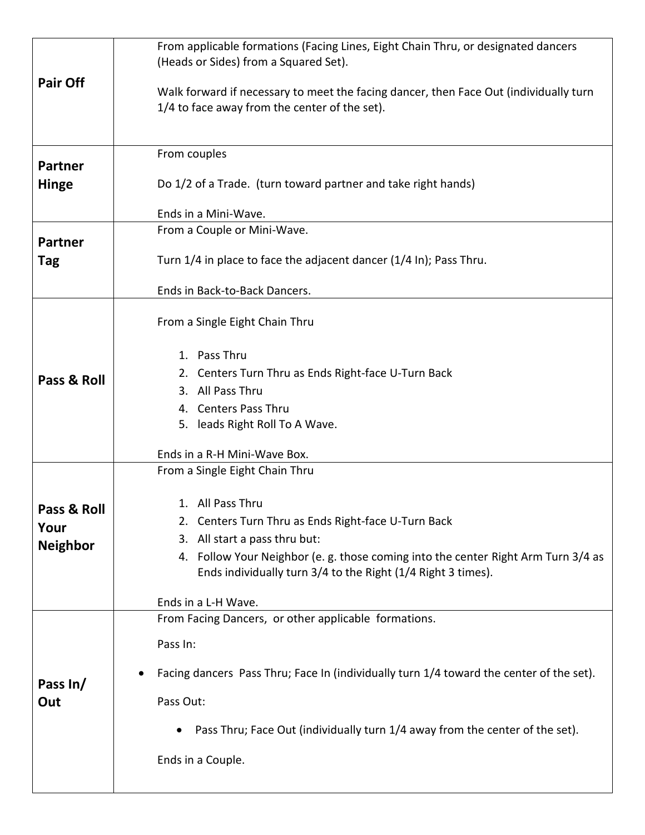|                                | From applicable formations (Facing Lines, Eight Chain Thru, or designated dancers<br>(Heads or Sides) from a Squared Set).                       |
|--------------------------------|--------------------------------------------------------------------------------------------------------------------------------------------------|
| Pair Off                       | Walk forward if necessary to meet the facing dancer, then Face Out (individually turn<br>1/4 to face away from the center of the set).           |
| <b>Partner</b><br><b>Hinge</b> | From couples<br>Do 1/2 of a Trade. (turn toward partner and take right hands)                                                                    |
|                                | Ends in a Mini-Wave.                                                                                                                             |
|                                | From a Couple or Mini-Wave.                                                                                                                      |
| <b>Partner</b><br>Tag          | Turn 1/4 in place to face the adjacent dancer (1/4 In); Pass Thru.<br>Ends in Back-to-Back Dancers.                                              |
|                                |                                                                                                                                                  |
|                                | From a Single Eight Chain Thru                                                                                                                   |
|                                | 1. Pass Thru                                                                                                                                     |
|                                | 2. Centers Turn Thru as Ends Right-face U-Turn Back                                                                                              |
| Pass & Roll                    | 3. All Pass Thru                                                                                                                                 |
|                                | 4. Centers Pass Thru                                                                                                                             |
|                                | 5. leads Right Roll To A Wave.                                                                                                                   |
|                                |                                                                                                                                                  |
|                                | Ends in a R-H Mini-Wave Box.                                                                                                                     |
|                                | From a Single Eight Chain Thru                                                                                                                   |
|                                |                                                                                                                                                  |
| Pass & Roll                    | 1. All Pass Thru                                                                                                                                 |
| Your                           | 2. Centers Turn Thru as Ends Right-face U-Turn Back                                                                                              |
| <b>Neighbor</b>                | 3. All start a pass thru but:                                                                                                                    |
|                                | 4. Follow Your Neighbor (e.g. those coming into the center Right Arm Turn 3/4 as<br>Ends individually turn 3/4 to the Right (1/4 Right 3 times). |
|                                | Ends in a L-H Wave.                                                                                                                              |
|                                | From Facing Dancers, or other applicable formations.                                                                                             |
|                                |                                                                                                                                                  |
|                                | Pass In:                                                                                                                                         |
|                                | Facing dancers Pass Thru; Face In (individually turn 1/4 toward the center of the set).                                                          |
| Pass In/                       |                                                                                                                                                  |
| Out                            | Pass Out:                                                                                                                                        |
|                                |                                                                                                                                                  |
|                                | Pass Thru; Face Out (individually turn 1/4 away from the center of the set).<br>$\bullet$                                                        |
|                                | Ends in a Couple.                                                                                                                                |
|                                |                                                                                                                                                  |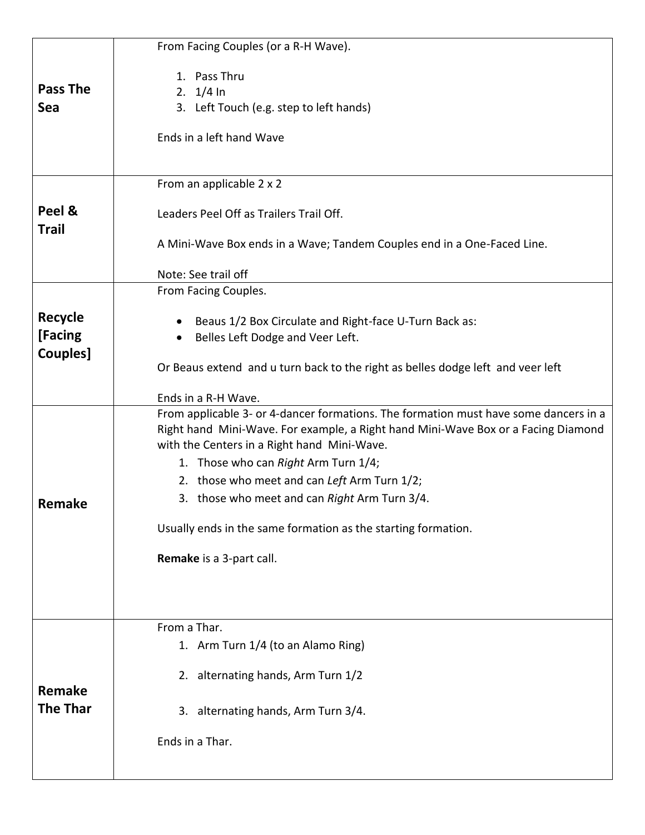|                        | From Facing Couples (or a R-H Wave).                                                                                                                                      |
|------------------------|---------------------------------------------------------------------------------------------------------------------------------------------------------------------------|
|                        | 1. Pass Thru                                                                                                                                                              |
| <b>Pass The</b>        | 2. $1/4 \ln$                                                                                                                                                              |
| Sea                    | 3. Left Touch (e.g. step to left hands)                                                                                                                                   |
|                        | Ends in a left hand Wave                                                                                                                                                  |
|                        | From an applicable 2 x 2                                                                                                                                                  |
| Peel &<br><b>Trail</b> | Leaders Peel Off as Trailers Trail Off.                                                                                                                                   |
|                        | A Mini-Wave Box ends in a Wave; Tandem Couples end in a One-Faced Line.                                                                                                   |
|                        | Note: See trail off                                                                                                                                                       |
|                        | From Facing Couples.                                                                                                                                                      |
| <b>Recycle</b>         | Beaus 1/2 Box Circulate and Right-face U-Turn Back as:                                                                                                                    |
| [Facing                | Belles Left Dodge and Veer Left.                                                                                                                                          |
| Couples]               | Or Beaus extend and u turn back to the right as belles dodge left and veer left                                                                                           |
|                        |                                                                                                                                                                           |
|                        | Ends in a R-H Wave.                                                                                                                                                       |
|                        | From applicable 3- or 4-dancer formations. The formation must have some dancers in a<br>Right hand Mini-Wave. For example, a Right hand Mini-Wave Box or a Facing Diamond |
|                        | with the Centers in a Right hand Mini-Wave.                                                                                                                               |
|                        | 1. Those who can Right Arm Turn 1/4;                                                                                                                                      |
|                        | 2. those who meet and can Left Arm Turn 1/2;                                                                                                                              |
| Remake                 | 3. those who meet and can Right Arm Turn 3/4.                                                                                                                             |
|                        | Usually ends in the same formation as the starting formation.                                                                                                             |
|                        | Remake is a 3-part call.                                                                                                                                                  |
|                        |                                                                                                                                                                           |
|                        | From a Thar.                                                                                                                                                              |
|                        | 1. Arm Turn 1/4 (to an Alamo Ring)                                                                                                                                        |
|                        | 2. alternating hands, Arm Turn 1/2                                                                                                                                        |
| Remake                 |                                                                                                                                                                           |
| <b>The Thar</b>        | 3. alternating hands, Arm Turn 3/4.                                                                                                                                       |
|                        | Ends in a Thar.                                                                                                                                                           |
|                        |                                                                                                                                                                           |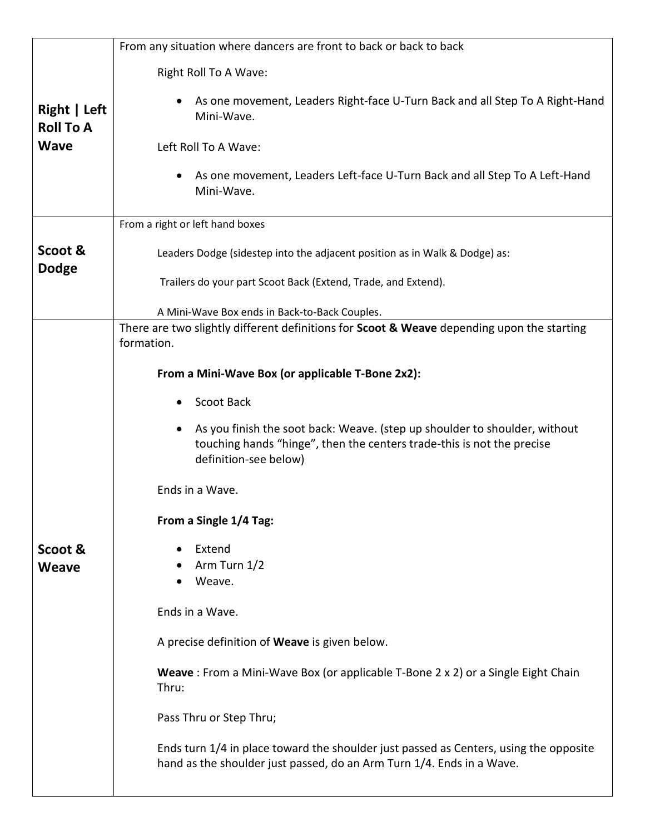|                                  | From any situation where dancers are front to back or back to back                                                                                                            |
|----------------------------------|-------------------------------------------------------------------------------------------------------------------------------------------------------------------------------|
|                                  | Right Roll To A Wave:                                                                                                                                                         |
| Right   Left<br><b>Roll To A</b> | As one movement, Leaders Right-face U-Turn Back and all Step To A Right-Hand<br>Mini-Wave.                                                                                    |
| <b>Wave</b>                      | Left Roll To A Wave:                                                                                                                                                          |
|                                  | As one movement, Leaders Left-face U-Turn Back and all Step To A Left-Hand<br>Mini-Wave.                                                                                      |
|                                  | From a right or left hand boxes                                                                                                                                               |
| Scoot &<br><b>Dodge</b>          | Leaders Dodge (sidestep into the adjacent position as in Walk & Dodge) as:                                                                                                    |
|                                  | Trailers do your part Scoot Back (Extend, Trade, and Extend).                                                                                                                 |
|                                  | A Mini-Wave Box ends in Back-to-Back Couples.                                                                                                                                 |
|                                  | There are two slightly different definitions for Scoot & Weave depending upon the starting<br>formation.                                                                      |
|                                  | From a Mini-Wave Box (or applicable T-Bone 2x2):                                                                                                                              |
|                                  |                                                                                                                                                                               |
|                                  | Scoot Back                                                                                                                                                                    |
|                                  | As you finish the soot back: Weave. (step up shoulder to shoulder, without<br>touching hands "hinge", then the centers trade-this is not the precise<br>definition-see below) |
|                                  | Ends in a Wave.                                                                                                                                                               |
|                                  | From a Single 1/4 Tag:                                                                                                                                                        |
| Scoot &                          | Extend                                                                                                                                                                        |
| Weave                            | Arm Turn 1/2<br>Weave.                                                                                                                                                        |
|                                  |                                                                                                                                                                               |
|                                  | Ends in a Wave.                                                                                                                                                               |
|                                  | A precise definition of Weave is given below.                                                                                                                                 |
|                                  | Weave: From a Mini-Wave Box (or applicable T-Bone 2 x 2) or a Single Eight Chain<br>Thru:                                                                                     |
|                                  | Pass Thru or Step Thru;                                                                                                                                                       |
|                                  | Ends turn 1/4 in place toward the shoulder just passed as Centers, using the opposite<br>hand as the shoulder just passed, do an Arm Turn 1/4. Ends in a Wave.                |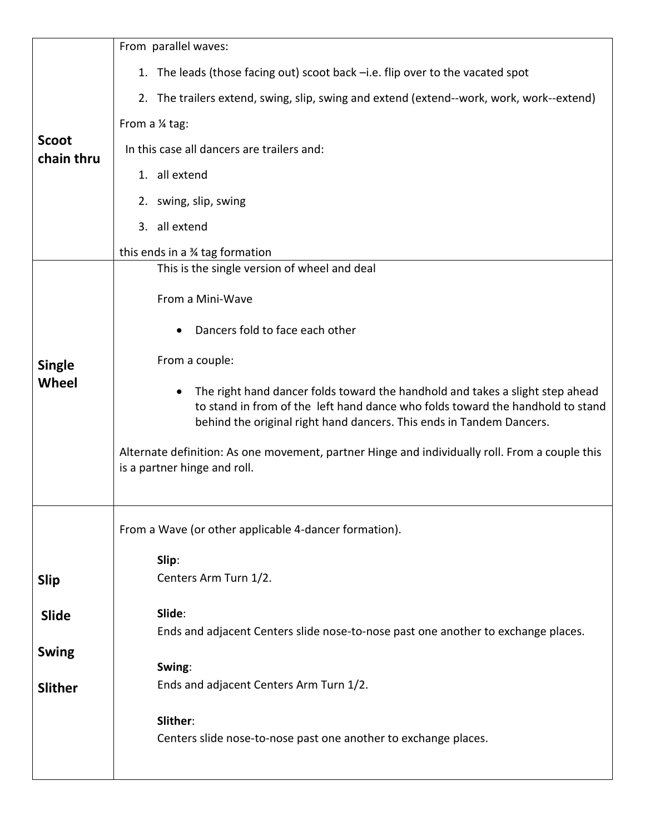|                            | From parallel waves:                                                                                                                                                                                                                                 |
|----------------------------|------------------------------------------------------------------------------------------------------------------------------------------------------------------------------------------------------------------------------------------------------|
|                            | 1. The leads (those facing out) scoot back -i.e. flip over to the vacated spot                                                                                                                                                                       |
|                            | 2. The trailers extend, swing, slip, swing and extend (extend--work, work, work--extend)                                                                                                                                                             |
|                            | From a 1⁄4 tag:                                                                                                                                                                                                                                      |
| <b>Scoot</b><br>chain thru | In this case all dancers are trailers and:                                                                                                                                                                                                           |
|                            | 1. all extend                                                                                                                                                                                                                                        |
|                            | 2. swing, slip, swing                                                                                                                                                                                                                                |
|                            | 3. all extend                                                                                                                                                                                                                                        |
|                            | this ends in a 34 tag formation                                                                                                                                                                                                                      |
|                            | This is the single version of wheel and deal                                                                                                                                                                                                         |
|                            | From a Mini-Wave                                                                                                                                                                                                                                     |
|                            | Dancers fold to face each other                                                                                                                                                                                                                      |
| <b>Single</b>              | From a couple:                                                                                                                                                                                                                                       |
| Wheel                      | The right hand dancer folds toward the handhold and takes a slight step ahead<br>$\bullet$<br>to stand in from of the left hand dance who folds toward the handhold to stand<br>behind the original right hand dancers. This ends in Tandem Dancers. |
|                            | Alternate definition: As one movement, partner Hinge and individually roll. From a couple this<br>is a partner hinge and roll.                                                                                                                       |
|                            | From a Wave (or other applicable 4-dancer formation).                                                                                                                                                                                                |
|                            | Slip:                                                                                                                                                                                                                                                |
| <b>Slip</b>                | Centers Arm Turn 1/2.                                                                                                                                                                                                                                |
| <b>Slide</b>               | Slide:                                                                                                                                                                                                                                               |
|                            | Ends and adjacent Centers slide nose-to-nose past one another to exchange places.                                                                                                                                                                    |
| <b>Swing</b>               | Swing:                                                                                                                                                                                                                                               |
| <b>Slither</b>             | Ends and adjacent Centers Arm Turn 1/2.                                                                                                                                                                                                              |
|                            | Slither:                                                                                                                                                                                                                                             |
|                            | Centers slide nose-to-nose past one another to exchange places.                                                                                                                                                                                      |
|                            |                                                                                                                                                                                                                                                      |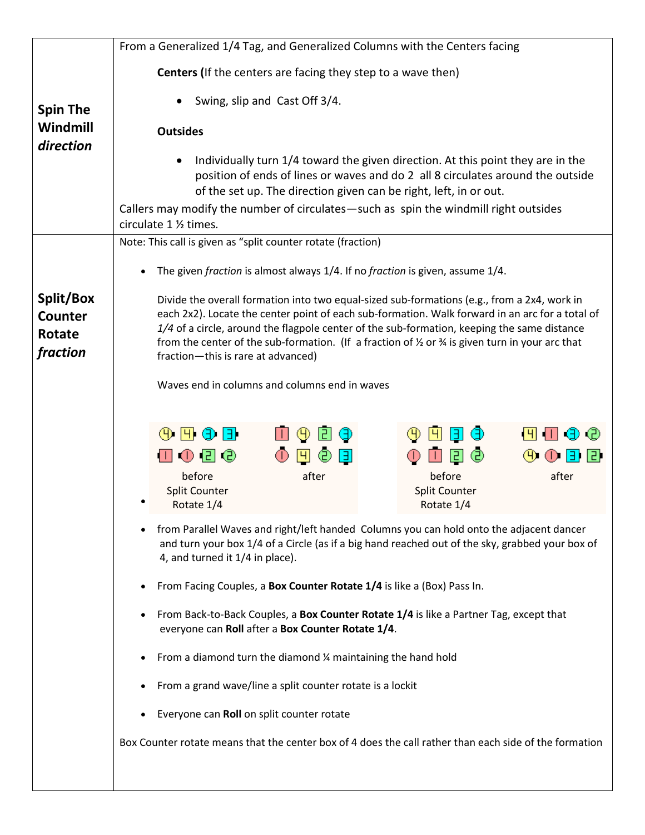|                                                          | From a Generalized 1/4 Tag, and Generalized Columns with the Centers facing                                                                                                                                                                                                                                                                                                                                                                                                                                   |
|----------------------------------------------------------|---------------------------------------------------------------------------------------------------------------------------------------------------------------------------------------------------------------------------------------------------------------------------------------------------------------------------------------------------------------------------------------------------------------------------------------------------------------------------------------------------------------|
|                                                          | Centers (If the centers are facing they step to a wave then)                                                                                                                                                                                                                                                                                                                                                                                                                                                  |
| <b>Spin The</b>                                          | Swing, slip and Cast Off 3/4.                                                                                                                                                                                                                                                                                                                                                                                                                                                                                 |
| Windmill                                                 | <b>Outsides</b>                                                                                                                                                                                                                                                                                                                                                                                                                                                                                               |
| direction                                                | Individually turn 1/4 toward the given direction. At this point they are in the<br>position of ends of lines or waves and do 2 all 8 circulates around the outside<br>of the set up. The direction given can be right, left, in or out.                                                                                                                                                                                                                                                                       |
|                                                          | Callers may modify the number of circulates—such as spin the windmill right outsides<br>circulate 1 1/2 times.                                                                                                                                                                                                                                                                                                                                                                                                |
|                                                          | Note: This call is given as "split counter rotate (fraction)                                                                                                                                                                                                                                                                                                                                                                                                                                                  |
|                                                          | The given fraction is almost always 1/4. If no fraction is given, assume 1/4.                                                                                                                                                                                                                                                                                                                                                                                                                                 |
| Split/Box<br><b>Counter</b><br><b>Rotate</b><br>fraction | Divide the overall formation into two equal-sized sub-formations (e.g., from a 2x4, work in<br>each 2x2). Locate the center point of each sub-formation. Walk forward in an arc for a total of<br>1/4 of a circle, around the flagpole center of the sub-formation, keeping the same distance<br>from the center of the sub-formation. (If a fraction of $\frac{1}{2}$ or $\frac{3}{4}$ is given turn in your arc that<br>fraction-this is rare at advanced)<br>Waves end in columns and columns end in waves |
|                                                          | $\left( 0 \right)$ $\left[ 0 \right]$ $\left( 0 \right)$<br>⊕<br>Ч<br>Э<br>12.<br>☺<br>$\overline{E}$<br>◫◑▯◶<br>$\mathbf{\Theta}$<br>ЕI<br>$\left( 4\right)$<br>IЭ<br>before<br>after<br>before<br>after<br><b>Split Counter</b><br><b>Split Counter</b><br>Rotate 1/4<br>Rotate 1/4                                                                                                                                                                                                                         |
|                                                          | from Parallel Waves and right/left handed Columns you can hold onto the adjacent dancer<br>$\bullet$<br>and turn your box 1/4 of a Circle (as if a big hand reached out of the sky, grabbed your box of<br>4, and turned it 1/4 in place).                                                                                                                                                                                                                                                                    |
|                                                          | From Facing Couples, a Box Counter Rotate 1/4 is like a (Box) Pass In.                                                                                                                                                                                                                                                                                                                                                                                                                                        |
|                                                          | From Back-to-Back Couples, a Box Counter Rotate 1/4 is like a Partner Tag, except that<br>$\bullet$<br>everyone can Roll after a Box Counter Rotate 1/4.                                                                                                                                                                                                                                                                                                                                                      |
|                                                          | From a diamond turn the diamond 1/4 maintaining the hand hold                                                                                                                                                                                                                                                                                                                                                                                                                                                 |
|                                                          | From a grand wave/line a split counter rotate is a lockit                                                                                                                                                                                                                                                                                                                                                                                                                                                     |
|                                                          | Everyone can Roll on split counter rotate                                                                                                                                                                                                                                                                                                                                                                                                                                                                     |
|                                                          | Box Counter rotate means that the center box of 4 does the call rather than each side of the formation                                                                                                                                                                                                                                                                                                                                                                                                        |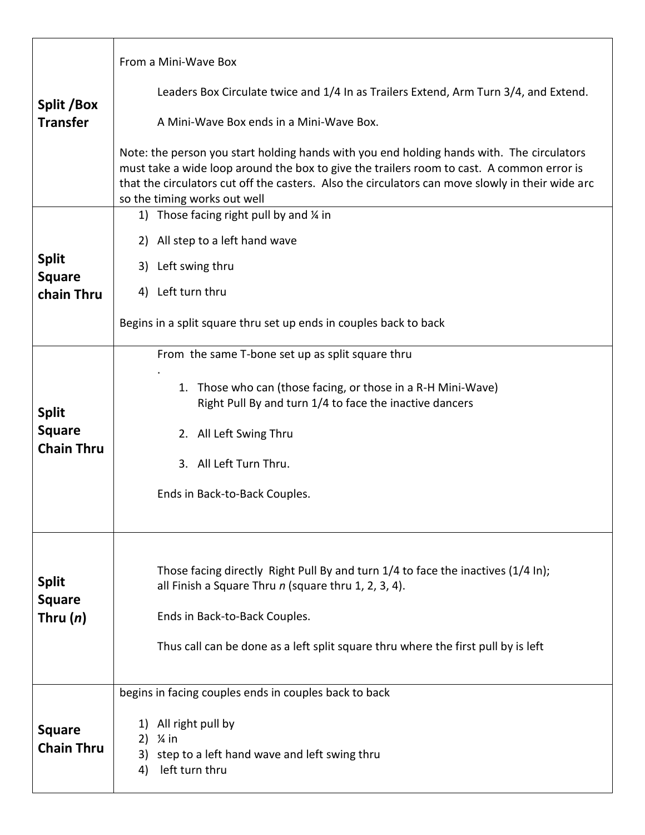| Split /Box<br><b>Transfer</b>               | From a Mini-Wave Box                                                                                                                                                                                                                                                                                                       |
|---------------------------------------------|----------------------------------------------------------------------------------------------------------------------------------------------------------------------------------------------------------------------------------------------------------------------------------------------------------------------------|
|                                             | Leaders Box Circulate twice and 1/4 In as Trailers Extend, Arm Turn 3/4, and Extend.                                                                                                                                                                                                                                       |
|                                             | A Mini-Wave Box ends in a Mini-Wave Box.                                                                                                                                                                                                                                                                                   |
|                                             | Note: the person you start holding hands with you end holding hands with. The circulators<br>must take a wide loop around the box to give the trailers room to cast. A common error is<br>that the circulators cut off the casters. Also the circulators can move slowly in their wide arc<br>so the timing works out well |
|                                             | 1) Those facing right pull by and $\frac{1}{4}$ in                                                                                                                                                                                                                                                                         |
|                                             | 2) All step to a left hand wave                                                                                                                                                                                                                                                                                            |
| <b>Split</b><br><b>Square</b>               | Left swing thru<br>3)                                                                                                                                                                                                                                                                                                      |
| chain Thru                                  | 4) Left turn thru                                                                                                                                                                                                                                                                                                          |
|                                             | Begins in a split square thru set up ends in couples back to back                                                                                                                                                                                                                                                          |
|                                             | From the same T-bone set up as split square thru                                                                                                                                                                                                                                                                           |
| <b>Split</b>                                | 1. Those who can (those facing, or those in a R-H Mini-Wave)<br>Right Pull By and turn 1/4 to face the inactive dancers                                                                                                                                                                                                    |
| <b>Square</b>                               | 2. All Left Swing Thru                                                                                                                                                                                                                                                                                                     |
| <b>Chain Thru</b>                           | 3. All Left Turn Thru.                                                                                                                                                                                                                                                                                                     |
|                                             | Ends in Back-to-Back Couples.                                                                                                                                                                                                                                                                                              |
|                                             |                                                                                                                                                                                                                                                                                                                            |
| <b>Split</b><br><b>Square</b><br>Thru $(n)$ | Those facing directly Right Pull By and turn 1/4 to face the inactives (1/4 In);<br>all Finish a Square Thru $n$ (square thru 1, 2, 3, 4).                                                                                                                                                                                 |
|                                             | Ends in Back-to-Back Couples.                                                                                                                                                                                                                                                                                              |
|                                             | Thus call can be done as a left split square thru where the first pull by is left                                                                                                                                                                                                                                          |
|                                             |                                                                                                                                                                                                                                                                                                                            |
|                                             | begins in facing couples ends in couples back to back                                                                                                                                                                                                                                                                      |
| <b>Square</b><br><b>Chain Thru</b>          | All right pull by<br>1)<br>$\frac{1}{4}$ in<br>2)<br>3)<br>step to a left hand wave and left swing thru<br>left turn thru<br>4)                                                                                                                                                                                            |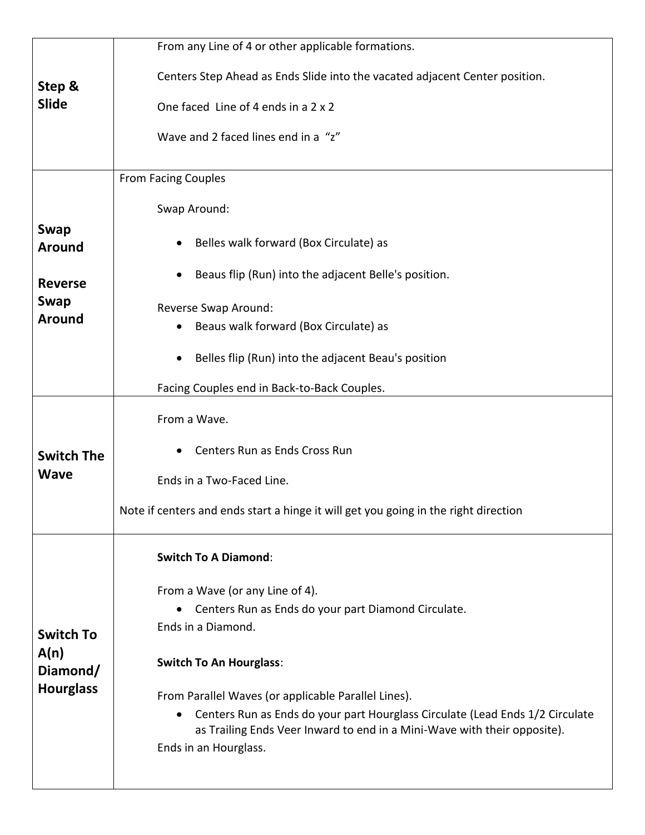| Step &<br><b>Slide</b>                                   | From any Line of 4 or other applicable formations.                                                |
|----------------------------------------------------------|---------------------------------------------------------------------------------------------------|
|                                                          | Centers Step Ahead as Ends Slide into the vacated adjacent Center position.                       |
|                                                          | One faced Line of 4 ends in a 2 x 2                                                               |
|                                                          | Wave and 2 faced lines end in a "z"                                                               |
|                                                          |                                                                                                   |
|                                                          | <b>From Facing Couples</b>                                                                        |
|                                                          | Swap Around:                                                                                      |
| <b>Swap</b><br><b>Around</b>                             | Belles walk forward (Box Circulate) as<br>$\bullet$                                               |
| <b>Reverse</b>                                           | Beaus flip (Run) into the adjacent Belle's position.                                              |
| <b>Swap</b><br><b>Around</b>                             | Reverse Swap Around:                                                                              |
|                                                          | Beaus walk forward (Box Circulate) as                                                             |
|                                                          | Belles flip (Run) into the adjacent Beau's position                                               |
|                                                          | Facing Couples end in Back-to-Back Couples.                                                       |
|                                                          | From a Wave.                                                                                      |
| <b>Switch The</b>                                        | Centers Run as Ends Cross Run                                                                     |
| <b>Wave</b>                                              | Ends in a Two-Faced Line.                                                                         |
|                                                          | Note if centers and ends start a hinge it will get you going in the right direction               |
|                                                          | <b>Switch To A Diamond:</b>                                                                       |
|                                                          | From a Wave (or any Line of 4).                                                                   |
| <b>Switch To</b><br>A(n)<br>Diamond/<br><b>Hourglass</b> | Centers Run as Ends do your part Diamond Circulate.<br>$\bullet$                                  |
|                                                          | Ends in a Diamond.                                                                                |
|                                                          | <b>Switch To An Hourglass:</b>                                                                    |
|                                                          | From Parallel Waves (or applicable Parallel Lines).                                               |
|                                                          | Centers Run as Ends do your part Hourglass Circulate (Lead Ends 1/2 Circulate                     |
|                                                          | as Trailing Ends Veer Inward to end in a Mini-Wave with their opposite).<br>Ends in an Hourglass. |
|                                                          |                                                                                                   |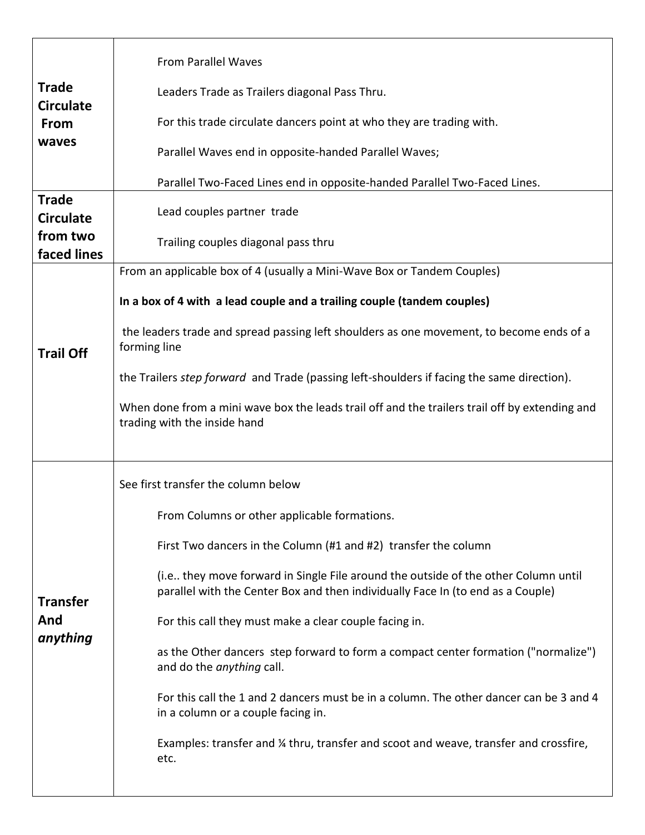| <b>Trade</b><br><b>Circulate</b><br>From<br>waves | <b>From Parallel Waves</b>                                                                                                                                            |
|---------------------------------------------------|-----------------------------------------------------------------------------------------------------------------------------------------------------------------------|
|                                                   | Leaders Trade as Trailers diagonal Pass Thru.                                                                                                                         |
|                                                   | For this trade circulate dancers point at who they are trading with.                                                                                                  |
|                                                   | Parallel Waves end in opposite-handed Parallel Waves;                                                                                                                 |
|                                                   | Parallel Two-Faced Lines end in opposite-handed Parallel Two-Faced Lines.                                                                                             |
| <b>Trade</b><br><b>Circulate</b>                  | Lead couples partner trade                                                                                                                                            |
| from two<br>faced lines                           | Trailing couples diagonal pass thru                                                                                                                                   |
|                                                   | From an applicable box of 4 (usually a Mini-Wave Box or Tandem Couples)                                                                                               |
|                                                   | In a box of 4 with a lead couple and a trailing couple (tandem couples)                                                                                               |
| <b>Trail Off</b>                                  | the leaders trade and spread passing left shoulders as one movement, to become ends of a<br>forming line                                                              |
|                                                   | the Trailers step forward and Trade (passing left-shoulders if facing the same direction).                                                                            |
|                                                   | When done from a mini wave box the leads trail off and the trailers trail off by extending and<br>trading with the inside hand                                        |
|                                                   | See first transfer the column below                                                                                                                                   |
|                                                   | From Columns or other applicable formations.                                                                                                                          |
|                                                   | First Two dancers in the Column (#1 and #2) transfer the column                                                                                                       |
| <b>Transfer</b>                                   | (i.e they move forward in Single File around the outside of the other Column until<br>parallel with the Center Box and then individually Face In (to end as a Couple) |
| And                                               | For this call they must make a clear couple facing in.                                                                                                                |
| anything                                          | as the Other dancers step forward to form a compact center formation ("normalize")<br>and do the <i>anything</i> call.                                                |
|                                                   | For this call the 1 and 2 dancers must be in a column. The other dancer can be 3 and 4<br>in a column or a couple facing in.                                          |
|                                                   | Examples: transfer and ¼ thru, transfer and scoot and weave, transfer and crossfire,<br>etc.                                                                          |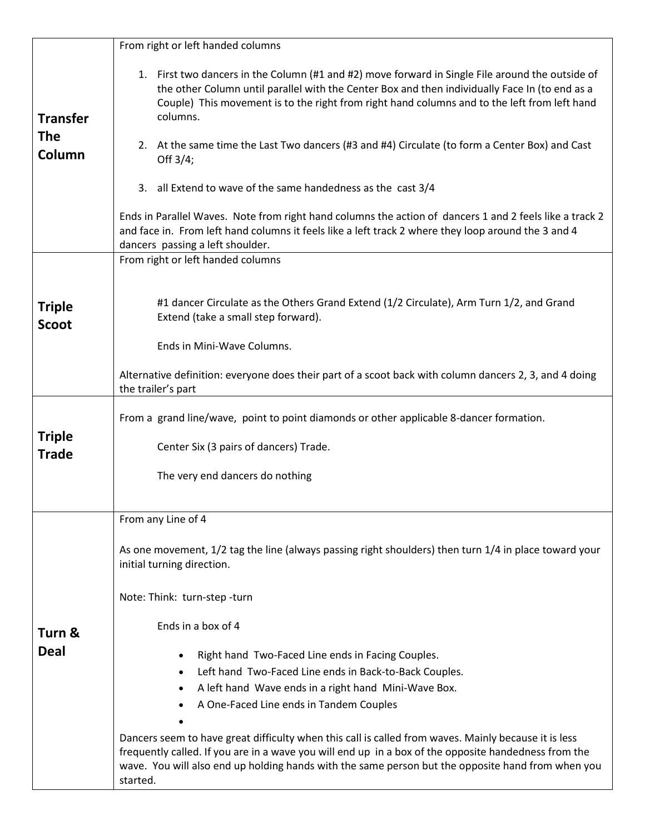| <b>Transfer</b><br><b>The</b><br>Column | From right or left handed columns                                                                                                                                                                                                                                                                                                                                                                                            |
|-----------------------------------------|------------------------------------------------------------------------------------------------------------------------------------------------------------------------------------------------------------------------------------------------------------------------------------------------------------------------------------------------------------------------------------------------------------------------------|
|                                         | 1. First two dancers in the Column (#1 and #2) move forward in Single File around the outside of<br>the other Column until parallel with the Center Box and then individually Face In (to end as a<br>Couple) This movement is to the right from right hand columns and to the left from left hand<br>columns.<br>2. At the same time the Last Two dancers (#3 and #4) Circulate (to form a Center Box) and Cast<br>Off 3/4; |
|                                         | all Extend to wave of the same handedness as the cast 3/4<br>3.                                                                                                                                                                                                                                                                                                                                                              |
|                                         | Ends in Parallel Waves. Note from right hand columns the action of dancers 1 and 2 feels like a track 2<br>and face in. From left hand columns it feels like a left track 2 where they loop around the 3 and 4<br>dancers passing a left shoulder.                                                                                                                                                                           |
|                                         | From right or left handed columns                                                                                                                                                                                                                                                                                                                                                                                            |
| <b>Triple</b><br><b>Scoot</b>           | #1 dancer Circulate as the Others Grand Extend (1/2 Circulate), Arm Turn 1/2, and Grand<br>Extend (take a small step forward).<br>Ends in Mini-Wave Columns.                                                                                                                                                                                                                                                                 |
|                                         | Alternative definition: everyone does their part of a scoot back with column dancers 2, 3, and 4 doing                                                                                                                                                                                                                                                                                                                       |
|                                         | the trailer's part                                                                                                                                                                                                                                                                                                                                                                                                           |
|                                         | From a grand line/wave, point to point diamonds or other applicable 8-dancer formation.                                                                                                                                                                                                                                                                                                                                      |
| <b>Triple</b><br><b>Trade</b>           | Center Six (3 pairs of dancers) Trade.                                                                                                                                                                                                                                                                                                                                                                                       |
|                                         | The very end dancers do nothing                                                                                                                                                                                                                                                                                                                                                                                              |
|                                         | From any Line of 4                                                                                                                                                                                                                                                                                                                                                                                                           |
| Turn &                                  | As one movement, 1/2 tag the line (always passing right shoulders) then turn 1/4 in place toward your<br>initial turning direction.                                                                                                                                                                                                                                                                                          |
|                                         | Note: Think: turn-step-turn                                                                                                                                                                                                                                                                                                                                                                                                  |
|                                         | Ends in a box of 4                                                                                                                                                                                                                                                                                                                                                                                                           |
| <b>Deal</b>                             | Right hand Two-Faced Line ends in Facing Couples.                                                                                                                                                                                                                                                                                                                                                                            |
|                                         | Left hand Two-Faced Line ends in Back-to-Back Couples.<br>$\bullet$                                                                                                                                                                                                                                                                                                                                                          |
|                                         | A left hand Wave ends in a right hand Mini-Wave Box.<br>٠<br>A One-Faced Line ends in Tandem Couples                                                                                                                                                                                                                                                                                                                         |
|                                         |                                                                                                                                                                                                                                                                                                                                                                                                                              |
|                                         | Dancers seem to have great difficulty when this call is called from waves. Mainly because it is less<br>frequently called. If you are in a wave you will end up in a box of the opposite handedness from the<br>wave. You will also end up holding hands with the same person but the opposite hand from when you<br>started.                                                                                                |